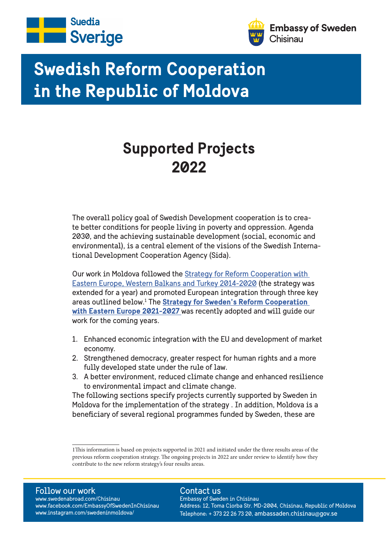



# **Swedish Reform Cooperation in the Republic of Moldova**

## **Supported Projects 2022**

The overall policy goal of Swedish Development cooperation is to create better conditions for people living in poverty and oppression. Agenda 2030, and the achieving sustainable development (social, economic and environmental), is a central element of the visions of the Swedish International Development Cooperation Agency (Sida).

Our work in Moldova followed the Strategy for Reform Cooperation with Eastern Europe, Western Balkans and Turkey 2014-2020 (the strategy was extended for a year) and promoted European integration through three key areas outlined below.1 The **Strategy for Sweden's Reform Cooperation with Eastern Europe 2021-2027** was recently adopted and will guide our work for the coming years.

- 1. Enhanced economic integration with the EU and development of market economy.
- 2. Strengthened democracy, greater respect for human rights and a more fully developed state under the rule of law.
- 3. A better environment, reduced climate change and enhanced resilience to environmental impact and climate change.

The following sections specify projects currently supported by Sweden in Moldova for the implementation of the strategy . In addition, Moldova is a beneficiary of several regional programmes funded by Sweden, these are

#### Follow our work

www.swedenabroad.com/Chisinau www.facebook.com/EmbassyOfSwedenInChisinau www.instagram.com/swedeninmoldova/

#### Contact us

2 Telephone: + 373 22 26 73 20, ambassaden.chisinau@gov.se Embassy of Sweden in Chisinau Address: 12, Toma Ciorba Str. MD-2004, Chisinau, Republic of Moldova

<sup>1</sup>This information is based on projects supported in 2021 and initiated under the three results areas of the previous reform cooperation strategy. The ongoing projects in 2022 are under review to identify how they contribute to the new reform strategy's four results areas.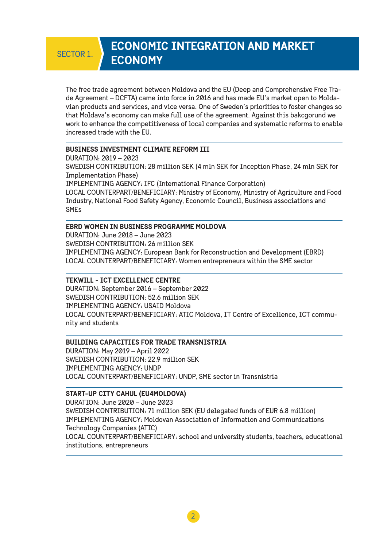### **ECONOMIC INTEGRATION AND MARKET ECONOMY**

The free trade agreement between Moldova and the EU (Deep and Comprehensive Free Trade Agreement – DCFTA) came into force in 2016 and has made EU's market open to Moldavian products and services, and vice versa. One of Sweden's priorities to foster changes so that Moldava's economy can make full use of the agreement. Against this bakcgorund we work to enhance the competitiveness of local companies and systematic reforms to enable increased trade with the EU.

#### **BUSINESS INVESTMENT CLIMATE REFORM III**

DURATION: 2019 – 2023 SWEDISH CONTRIBUTION: 28 million SEK (4 mln SEK for Inception Phase, 24 mln SEK for Implementation Phase) IMPLEMENTING AGENCY: IFC (International Finance Corporation) LOCAL COUNTERPART/BENEFICIARY: Ministry of Economy, Ministry of Agriculture and Food Industry, National Food Safety Agency, Economic Council, Business associations and SMEs

#### **EBRD WOMEN IN BUSINESS PROGRAMME MOLDOVA**

DURATION: June 2018 – June 2023 SWEDISH CONTRIBUTION: 26 million SEK IMPLEMENTING AGENCY: European Bank for Reconstruction and Development (EBRD) LOCAL COUNTERPART/BENEFICIARY: Women entrepreneurs within the SME sector

#### **TEKWILL - ICT EXCELLENCE CENTRE**

DURATION: September 2016 – September 2022 SWEDISH CONTRIBUTION: 52.6 million SEK IMPLEMENTING AGENCY: USAID Moldova LOCAL COUNTERPART/BENEFICIARY: ATIC Moldova, IT Centre of Excellence, ICT community and students

#### **BUILDING CAPACITIES FOR TRADE TRANSNISTRIA**

DURATION: May 2019 – April 2022 SWEDISH CONTRIBUTION: 22.9 million SEK IMPLEMENTING AGENCY: UNDP LOCAL COUNTERPART/BENEFICIARY: UNDP, SME sector in Transnistria

#### **START-UP CITY CAHUL (EU4MOLDOVA)**

DURATION: June 2020 – June 2023 SWEDISH CONTRIBUTION: 71 million SEK (EU delegated funds of EUR 6.8 million) IMPLEMENTING AGENCY: Moldovan Association of Information and Communications Technology Companies (ATIC) LOCAL COUNTERPART/BENEFICIARY: school and university students, teachers, educational institutions, entrepreneurs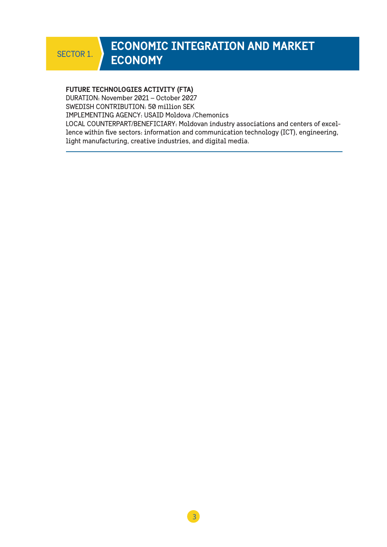### **ECONOMIC INTEGRATION AND MARKET**  SECTOR 1. **ECONOMY**

#### **FUTURE TECHNOLOGIES ACTIVITY (FTA)**

DURATION: November 2021 – October 2027

SWEDISH CONTRIBUTION: 50 million SEK

IMPLEMENTING AGENCY: USAID Moldova /Chemonics

LOCAL COUNTERPART/BENEFICIARY: Moldovan industry associations and centers of excellence within five sectors: information and communication technology (ICT), engineering, light manufacturing, creative industries, and digital media.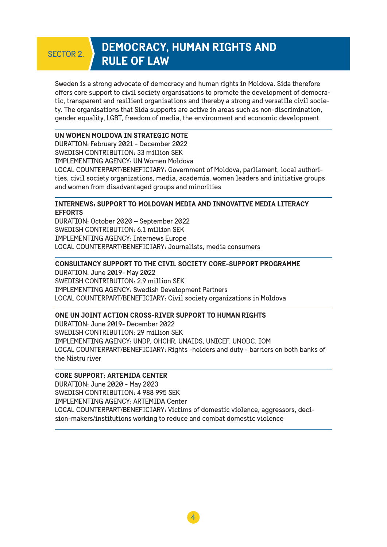### **DEMOCRACY, HUMAN RIGHTS AND RULE OF LAW**

Sweden is a strong advocate of democracy and human rights in Moldova. Sida therefore offers core support to civil society organisations to promote the development of democratic, transparent and resilient organisations and thereby a strong and versatile civil society. The organisations that Sida supports are active in areas such as non-discrimination, gender equality, LGBT, freedom of media, the environment and economic development.

#### **UN WOMEN MOLDOVA IN STRATEGIC NOTE**

DURATION: February 2021 - December 2022 SWEDISH CONTRIBUTION: 33 million SEK IMPLEMENTING AGENCY: UN Women Moldova LOCAL COUNTERPART/BENEFICIARY: Government of Moldova, parliament, local authorities, civil society organizations, media, academia, women leaders and initiative groups and women from disadvantaged groups and minorities

#### **INTERNEWS: SUPPORT TO MOLDOVAN MEDIA AND INNOVATIVE MEDIA LITERACY EFFORTS**

DURATION: October 2020 – September 2022 SWEDISH CONTRIBUTION: 6.1 million SEK IMPLEMENTING AGENCY: Internews Europe LOCAL COUNTERPART/BENEFICIARY: Journalists, media consumers

#### **CONSULTANCY SUPPORT TO THE CIVIL SOCIETY CORE-SUPPORT PROGRAMME**

DURATION: June 2019- May 2022 SWEDISH CONTRIBUTION: 2.9 million SEK IMPLEMENTING AGENCY: Swedish Development Partners LOCAL COUNTERPART/BENEFICIARY: Civil society organizations in Moldova

#### **ONE UN JOINT ACTION CROSS-RIVER SUPPORT TO HUMAN RIGHTS**

DURATION: June 2019- December 2022 SWEDISH CONTRIBUTION: 29 million SEK IMPLEMENTING AGENCY: UNDP, OHCHR, UNAIDS, UNICEF, UNODC, IOM LOCAL COUNTERPART/BENEFICIARY: Rights -holders and duty - barriers on both banks of the Nistru river

#### **CORE SUPPORT: ARTEMIDA CENTER**

DURATION: June 2020 - May 2023 SWEDISH CONTRIBUTION: 4 988 995 SEK IMPLEMENTING AGENCY: ARTEMIDA Center LOCAL COUNTERPART/BENEFICIARY: Victims of domestic violence, aggressors, decision-makers/institutions working to reduce and combat domestic violence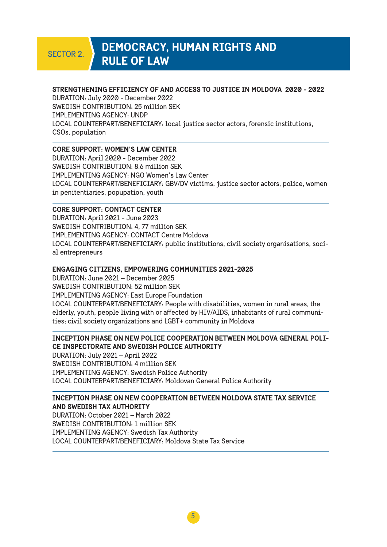### **DEMOCRACY, HUMAN RIGHTS AND RULE OF LAW**

#### **STRENGTHENING EFFICIENCY OF AND ACCESS TO JUSTICE IN MOLDOVA 2020 - 2022**

DURATION: July 2020 - December 2022 SWEDISH CONTRIBUTION: 25 million SEK IMPLEMENTING AGENCY: UNDP LOCAL COUNTERPART/BENEFICIARY: local justice sector actors, forensic institutions, CSOs, population

#### **CORE SUPPORT: WOMEN'S LAW CENTER**

DURATION: April 2020 - December 2022 SWEDISH CONTRIBUTION: 8.6 million SEK IMPLEMENTING AGENCY: NGO Women's Law Center LOCAL COUNTERPART/BENEFICIARY: GBV/DV victims, justice sector actors, police, women in penitentiaries, popupation, youth

#### **CORE SUPPORT: CONTACT CENTER**

DURATION: April 2021 - June 2023 SWEDISH CONTRIBUTION: 4, 77 million SEK IMPLEMENTING AGENCY: CONTACT Centre Moldova LOCAL COUNTERPART/BENEFICIARY: public institutions, civil society organisations, social entrepreneurs

#### **ENGAGING CITIZENS, EMPOWERING COMMUNITIES 2021-2025**

DURATION: June 2021 – December 2025 SWEDISH CONTRIBUTION: 52 million SEK IMPLEMENTING AGENCY: East Europe Foundation LOCAL COUNTERPART/BENEFICIARY: People with disabilities, women in rural areas, the elderly, youth, people living with or affected by HIV/AIDS, inhabitants of rural communities; civil society organizations and LGBT+ community in Moldova

#### **INCEPTION PHASE ON NEW POLICE COOPERATION BETWEEN MOLDOVA GENERAL POLI-CE INSPECTORATE AND SWEDISH POLICE AUTHORITY**

DURATION: July 2021 – April 2022 SWEDISH CONTRIBUTION: 4 million SEK IMPLEMENTING AGENCY: Swedish Police Authority LOCAL COUNTERPART/BENEFICIARY: Moldovan General Police Authority

#### **INCEPTION PHASE ON NEW COOPERATION BETWEEN MOLDOVA STATE TAX SERVICE AND SWEDISH TAX AUTHORITY**

DURATION: October 2021 – March 2022 SWEDISH CONTRIBUTION: 1 million SEK IMPLEMENTING AGENCY: Swedish Tax Authority LOCAL COUNTERPART/BENEFICIARY: Moldova State Tax Service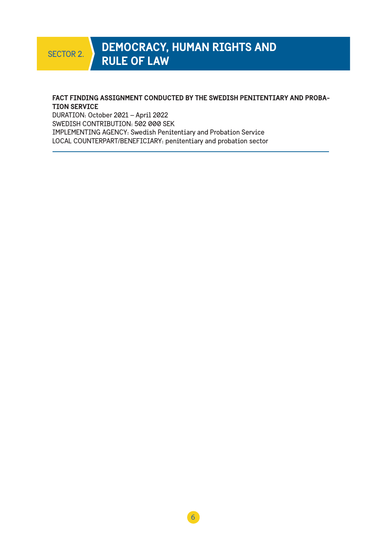### **DEMOCRACY, HUMAN RIGHTS AND RULE OF LAW**

#### **FACT FINDING ASSIGNMENT CONDUCTED BY THE SWEDISH PENITENTIARY AND PROBA-TION SERVICE**

DURATION: October 2021 – April 2022 SWEDISH CONTRIBUTION: 502 000 SEK IMPLEMENTING AGENCY: Swedish Penitentiary and Probation Service LOCAL COUNTERPART/BENEFICIARY: penitentiary and probation sector